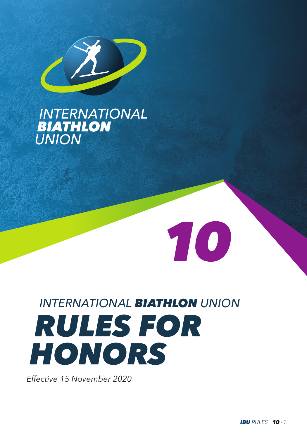

## **INTERNATIONAL**<br>**BIATHLON UNION**

# *INTERNATIONAL BIATHLON UNION RULES FOR HONORS*

*10*

*Effective 15 November 2020*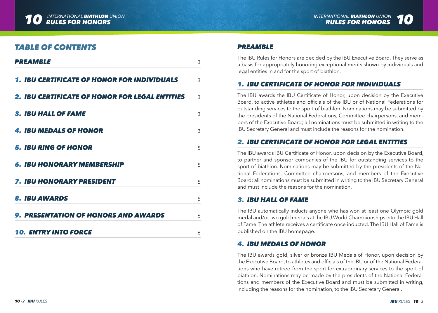

## *TABLE OF CONTENTS*

| <b>PREAMBLE</b>                                    | 3 |
|----------------------------------------------------|---|
| <b>1. IBU CERTIFICATE OF HONOR FOR INDIVIDUALS</b> | 3 |
| 2. IBU CERTIFICATE OF HONOR FOR LEGAL ENTITIES     | 3 |
| <b>3. IBU HALL OF FAME</b>                         | 3 |
| 4. IBU MEDALS OF HONOR                             | 3 |
| 5. IBU RING OF HONOR                               | 5 |
| <b>6. IBU HONORARY MEMBERSHIP</b>                  | 5 |
| <b>7. IBU HONORARY PRESIDENT</b>                   | 5 |
| <b>8. IBU AWARDS</b>                               | 5 |
| <b>9. PRESENTATION OF HONORS AND AWARDS</b>        | 6 |
| <b>10. ENTRY INTO FORCE</b>                        | 6 |

#### *PREAMBLE*

The IBU Rules for Honors are decided by the IBU Executive Board. They serve as a basis for appropriately honoring exceptional merits shown by individuals and legal entities in and for the sport of biathlon.

## *1. IBU CERTIFICATE OF HONOR FOR INDIVIDUALS*

The IBU awards the IBU Certificate of Honor, upon decision by the Executive Board, to active athletes and officials of the IBU or of National Federations for outstanding services to the sport of biathlon. Nominations may be submitted by the presidents of the National Federations, Committee chairpersons, and members of the Executive Board; all nominations must be submitted in writing to the IBU Secretary General and must include the reasons for the nomination.

## *2. IBU CERTIFICATE OF HONOR FOR LEGAL ENTITIES*

The IBU awards IBU Certificate of Honor, upon decision by the Executive Board, to partner and sponsor companies of the IBU for outstanding services to the sport of biathlon. Nominations may be submitted by the presidents of the National Federations, Committee chairpersons, and members of the Executive Board; all nominations must be submitted in writing to the IBU Secretary General and must include the reasons for the nomination.

#### *3. IBU HALL OF FAME*

The IBU automatically inducts anyone who has won at least one Olympic gold medal and/or two gold medals at the IBU World Championships into the IBU Hall of Fame. The athlete receives a certificate once inducted. The IBU Hall of Fame is published on the IBU homepage.

## *4. IBU MEDALS OF HONOR*

The IBU awards gold, silver or bronze IBU Medals of Honor, upon decision by the Executive Board, to athletes and officials of the IBU or of the National Federations who have retired from the sport for extraordinary services to the sport of biathlon. Nominations may be made by the presidents of the National Federations and members of the Executive Board and must be submitted in writing, including the reasons for the nomination, to the IBU Secretary General.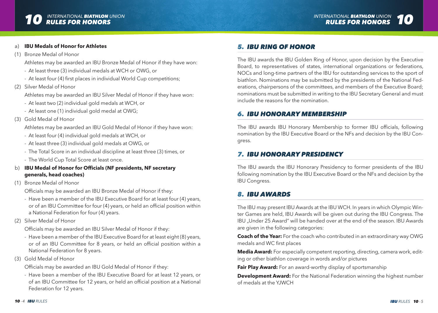

#### a) **IBU Medals of Honor for Athletes**

(1) Bronze Medal of Honor

Athletes may be awarded an IBU Bronze Medal of Honor if they have won:

- At least three (3) individual medals at WCH or OWG, or
- At least four (4) first places in individual World Cup competitions;
- (2) Silver Medal of Honor

Athletes may be awarded an IBU Silver Medal of Honor if they have won:

- At least two (2) individual gold medals at WCH, or
- At least one (1) individual gold medal at OWG;
- (3) Gold Medal of Honor

Athletes may be awarded an IBU Gold Medal of Honor if they have won:

- At least four (4) individual gold medals at WCH, or
- At least three (3) individual gold medals at OWG, or
- The Total Score in an individual discipline at least three (3) times, or
- The World Cup Total Score at least once.
- b) **IBU Medal of Honor for Officials (NF presidents, NF secretary generals, head coaches)**
- (1) Bronze Medal of Honor

Officials may be awarded an IBU Bronze Medal of Honor if they:

- Have been a member of the IBU Executive Board for at least four (4) years, or of an IBU Committee for four (4) years, or held an official position within a National Federation for four (4) years.
- (2) Silver Medal of Honor

Officials may be awarded an IBU Silver Medal of Honor if they:

- Have been a member of the IBU Executive Board for at least eight (8) years, or of an IBU Committee for 8 years, or held an official position within a National Federation for 8 years.
- (3) Gold Medal of Honor

Officials may be awarded an IBU Gold Medal of Honor if they:

- Have been a member of the IBU Executive Board for at least 12 years, or of an IBU Committee for 12 years, or held an official position at a National Federation for 12 years.

## *5. IBU RING OF HONOR*

The IBU awards the IBU Golden Ring of Honor, upon decision by the Executive Board, to representatives of states, international organizations or federations, NOCs and long-time partners of the IBU for outstanding services to the sport of biathlon. Nominations may be submitted by the presidents of the National Federations, chairpersons of the committees, and members of the Executive Board; nominations must be submitted in writing to the IBU Secretary General and must include the reasons for the nomination.

## *6. IBU HONORARY MEMBERSHIP*

The IBU awards IBU Honorary Membership to former IBU officials, following nomination by the IBU Executive Board or the NFs and decision by the IBU Congress.

## *7. IBU HONORARY PRESIDENCY*

The IBU awards the IBU Honorary Presidency to former presidents of the IBU following nomination by the IBU Executive Board or the NFs and decision by the IBU Congress.

## *8. IBU AWARDS*

The IBU may present IBU Awards at the IBU WCH. In years in which Olympic Winter Games are held, IBU Awards will be given out during the IBU Congress. The IBU "Under 25 Award" will be handed over at the end of the season. IBU Awards are given in the following categories:

**Coach of the Year:** For the coach who contributed in an extraordinary way OWG medals and WC first places

**Media Award:** For especially competent reporting, directing, camera work, editing or other biathlon coverage in words and/or pictures

**Fair Play Award:** For an award-worthy display of sportsmanship

**Development Award:** For the National Federation winning the highest number of medals at the YJWCH